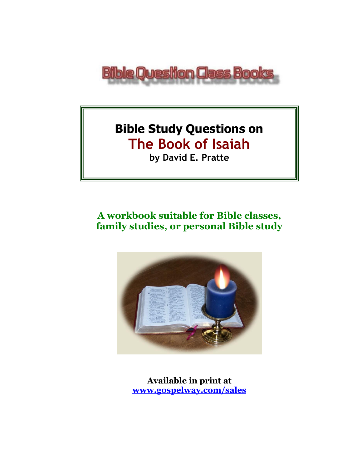

# **Bible Study Questions on The Book of Isaiah by David E. Pratte**

# **A workbook suitable for Bible classes, family studies, or personal Bible study**



**Available in print at [www.gospelway.com/sales](https://www.gospelway.com/sales)**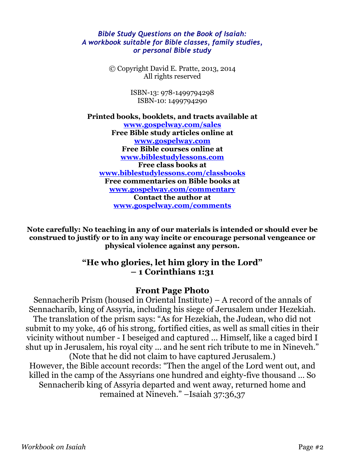#### *Bible Study Questions on the Book of Isaiah: A workbook suitable for Bible classes, family studies, or personal Bible study*

© Copyright David E. Pratte, 2013, 2014 All rights reserved

> ISBN-13: 978-1499794298 ISBN-10: 1499794290

**Printed books, booklets, and tracts available at [www.gospelway.com/sales](https://www.gospelway.com/sales) Free Bible study articles online at [www.gospelway.com](http://www.gospelway.com/) Free Bible courses online at [www.biblestudylessons.com](http://www.biblestudylessons.com/) Free class books at [www.biblestudylessons.com/classbooks](http://www.biblestudylessons.com/classbooks) Free commentaries on Bible books at [www.gospelway.com/commentary](http://www.gospelway.com/commentary) Contact the author at [www.gospelway.com/comments](http://www.gospelway.com/comments)**

**Note carefully: No teaching in any of our materials is intended or should ever be construed to justify or to in any way incite or encourage personal vengeance or physical violence against any person.**

#### **"He who glories, let him glory in the Lord" – 1 Corinthians 1:31**

#### **Front Page Photo**

Sennacherib Prism (housed in Oriental Institute) – A record of the annals of Sennacharib, king of Assyria, including his siege of Jerusalem under Hezekiah. The translation of the prism says: "As for Hezekiah, the Judean, who did not submit to my yoke, 46 of his strong, fortified cities, as well as small cities in their vicinity without number - I beseiged and captured ... Himself, like a caged bird I shut up in Jerusalem, his royal city ... and he sent rich tribute to me in Nineveh." (Note that he did not claim to have captured Jerusalem.)

However, the Bible account records: "Then the angel of the Lord went out, and killed in the camp of the Assyrians one hundred and eighty-five thousand … So Sennacherib king of Assyria departed and went away, returned home and remained at Nineveh." –Isaiah 37:36,37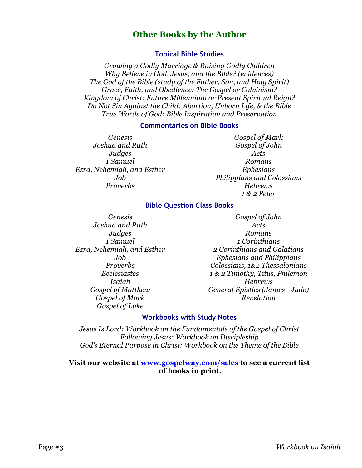#### **Other Books by the Author**

#### **Topical Bible Studies**

*Growing a Godly Marriage & Raising Godly Children Why Believe in God, Jesus, and the Bible? (evidences) The God of the Bible (study of the Father, Son, and Holy Spirit) Grace, Faith, and Obedience: The Gospel or Calvinism? Kingdom of Christ: Future Millennium or Present Spiritual Reign? Do Not Sin Against the Child: Abortion, Unborn Life, & the Bible True Words of God: Bible Inspiration and Preservation*

#### **Commentaries on Bible Books**

*Genesis Joshua and Ruth Judges 1 Samuel Ezra, Nehemiah, and Esther Job Proverbs*

*Gospel of Mark Gospel of John Acts Romans Ephesians Philippians and Colossians Hebrews 1 & 2 Peter*

#### **Bible Question Class Books**

*Genesis Joshua and Ruth Judges 1 Samuel Ezra, Nehemiah, and Esther Job Proverbs Ecclesiastes Isaiah Gospel of Matthew Gospel of Mark Gospel of Luke*

*Gospel of John Acts Romans 1 Corinthians 2 Corinthians and Galatians Ephesians and Philippians Colossians, 1&2 Thessalonians 1 & 2 Timothy, Titus, Philemon Hebrews General Epistles (James - Jude) Revelation*

#### **Workbooks with Study Notes**

*Jesus Is Lord: Workbook on the Fundamentals of the Gospel of Christ Following Jesus: Workbook on Discipleship God's Eternal Purpose in Christ: Workbook on the Theme of the Bible*

#### **Visit our website at [www.gospelway.com/sales](https://www.gospelway.com/sales) to see a current list of books in print.**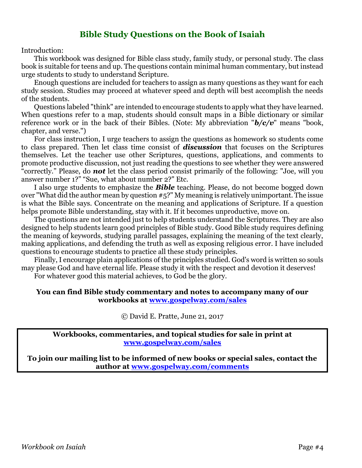#### **Bible Study Questions on the Book of Isaiah**

Introduction:

This workbook was designed for Bible class study, family study, or personal study. The class book is suitable for teens and up. The questions contain minimal human commentary, but instead urge students to study to understand Scripture.

Enough questions are included for teachers to assign as many questions as they want for each study session. Studies may proceed at whatever speed and depth will best accomplish the needs of the students.

Questions labeled "think" are intended to encourage students to apply what they have learned. When questions refer to a map, students should consult maps in a Bible dictionary or similar reference work or in the back of their Bibles. (Note: My abbreviation "*b/c/v*" means "book, chapter, and verse.")

For class instruction, I urge teachers to assign the questions as homework so students come to class prepared. Then let class time consist of *discussion* that focuses on the Scriptures themselves. Let the teacher use other Scriptures, questions, applications, and comments to promote productive discussion, not just reading the questions to see whether they were answered "correctly." Please, do *not* let the class period consist primarily of the following: "Joe, will you answer number 1?" "Sue, what about number 2?" Etc.

I also urge students to emphasize the *Bible* teaching. Please, do not become bogged down over "What did the author mean by question #5?" My meaning is relatively unimportant. The issue is what the Bible says. Concentrate on the meaning and applications of Scripture. If a question helps promote Bible understanding, stay with it. If it becomes unproductive, move on.

The questions are not intended just to help students understand the Scriptures. They are also designed to help students learn good principles of Bible study. Good Bible study requires defining the meaning of keywords, studying parallel passages, explaining the meaning of the text clearly, making applications, and defending the truth as well as exposing religious error. I have included questions to encourage students to practice all these study principles.

Finally, I encourage plain applications of the principles studied. God's word is written so souls may please God and have eternal life. Please study it with the respect and devotion it deserves! For whatever good this material achieves, to God be the glory.

#### **You can find Bible study commentary and notes to accompany many of our workbooks at [www.gospelway.com/sales](https://www.gospelway.com/sales)**

© David E. Pratte, June 21, 2017

**Workbooks, commentaries, and topical studies for sale in print at [www.gospelway.com/sales](https://www.gospelway.com/sales)**

**To join our mailing list to be informed of new books or special sales, contact the author at [www.gospelway.com/comments](http://www.gospelway.com/comments)**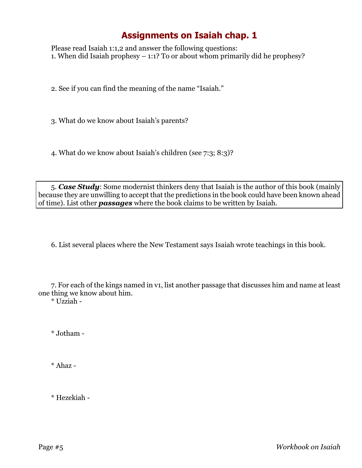Please read Isaiah 1:1,2 and answer the following questions: 1. When did Isaiah prophesy – 1:1? To or about whom primarily did he prophesy?

2. See if you can find the meaning of the name "Isaiah."

3. What do we know about Isaiah's parents?

4. What do we know about Isaiah's children (see 7:3; 8:3)?

5. *Case Study*: Some modernist thinkers deny that Isaiah is the author of this book (mainly because they are unwilling to accept that the predictions in the book could have been known ahead of time). List other *passages* where the book claims to be written by Isaiah.

6. List several places where the New Testament says Isaiah wrote teachings in this book.

7. For each of the kings named in v1, list another passage that discusses him and name at least one thing we know about him.

\* Uzziah -

\* Jotham -

\* Ahaz -

\* Hezekiah -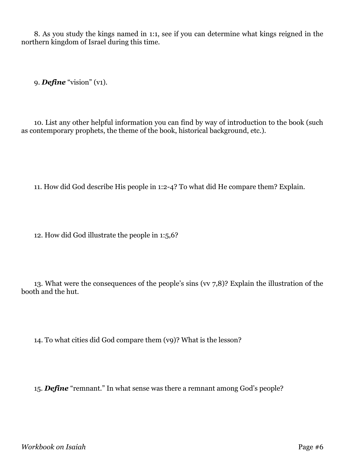8. As you study the kings named in 1:1, see if you can determine what kings reigned in the northern kingdom of Israel during this time.

9. *Define* "vision" (v1).

10. List any other helpful information you can find by way of introduction to the book (such as contemporary prophets, the theme of the book, historical background, etc.).

11. How did God describe His people in 1:2-4? To what did He compare them? Explain.

12. How did God illustrate the people in 1:5,6?

13. What were the consequences of the people's sins (vv 7,8)? Explain the illustration of the booth and the hut.

14. To what cities did God compare them (v9)? What is the lesson?

15. *Define* "remnant." In what sense was there a remnant among God's people?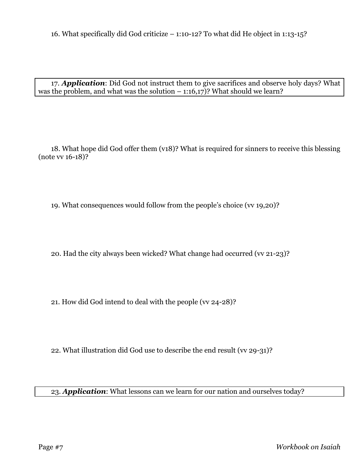16. What specifically did God criticize – 1:10-12? To what did He object in 1:13-15?

17. *Application*: Did God not instruct them to give sacrifices and observe holy days? What was the problem, and what was the solution  $-1:16,17$ ? What should we learn?

18. What hope did God offer them (v18)? What is required for sinners to receive this blessing (note vv 16-18)?

19. What consequences would follow from the people's choice (vv 19,20)?

20. Had the city always been wicked? What change had occurred (vv 21-23)?

21. How did God intend to deal with the people (vv 24-28)?

22. What illustration did God use to describe the end result (vv 29-31)?

23. *Application*: What lessons can we learn for our nation and ourselves today?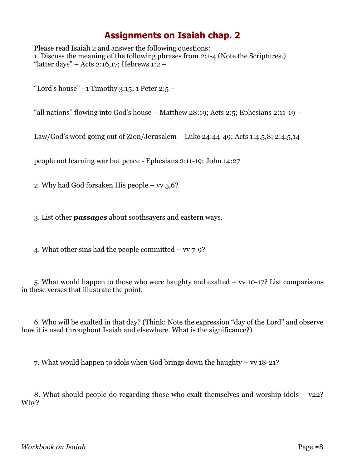Please read Isaiah 2 and answer the following questions: 1. Discuss the meaning of the following phrases from 2:1-4 (Note the Scriptures.) "latter days" – Acts 2:16,17; Hebrews 1:2 –

"Lord's house" - 1 Timothy 3:15; 1 Peter 2:5  $-$ 

"all nations" flowing into God's house – Matthew 28:19; Acts 2:5; Ephesians 2:11-19 –

Law/God's word going out of Zion/Jerusalem – Luke 24:44-49; Acts 1:4,5,8; 2:4,5,14 –

people not learning war but peace - Ephesians 2:11-19; John 14:27

2. Why had God forsaken His people –  $vv$  5,6?

3. List other *passages* about soothsayers and eastern ways.

4. What other sins had the people committed  $-$  vv  $7-9$ ?

5. What would happen to those who were haughty and exalted – vv 10-17? List comparisons in these verses that illustrate the point.

6. Who will be exalted in that day? (Think: Note the expression "day of the Lord" and observe how it is used throughout Isaiah and elsewhere. What is the significance?)

7. What would happen to idols when God brings down the haughty – vv 18-21?

8. What should people do regarding those who exalt themselves and worship idols  $-$  v22? Why?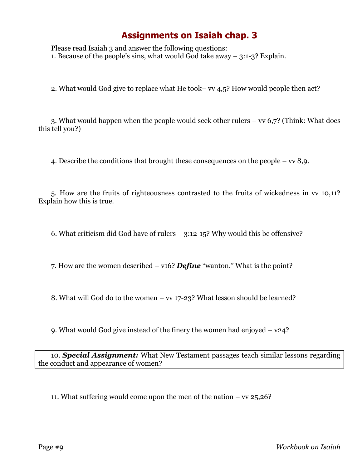Please read Isaiah 3 and answer the following questions: 1. Because of the people's sins, what would God take away – 3:1-3? Explain.

2. What would God give to replace what He took– vv 4,5? How would people then act?

3. What would happen when the people would seek other rulers – vv 6,7? (Think: What does this tell you?)

4. Describe the conditions that brought these consequences on the people – vv 8,9.

5. How are the fruits of righteousness contrasted to the fruits of wickedness in vv 10,11? Explain how this is true.

6. What criticism did God have of rulers – 3:12-15? Why would this be offensive?

7. How are the women described – v16? *Define* "wanton." What is the point?

8. What will God do to the women – vv 17-23? What lesson should be learned?

9. What would God give instead of the finery the women had enjoyed – v24?

10. *Special Assignment:* What New Testament passages teach similar lessons regarding the conduct and appearance of women?

11. What suffering would come upon the men of the nation  $-$  vv  $25,26$ ?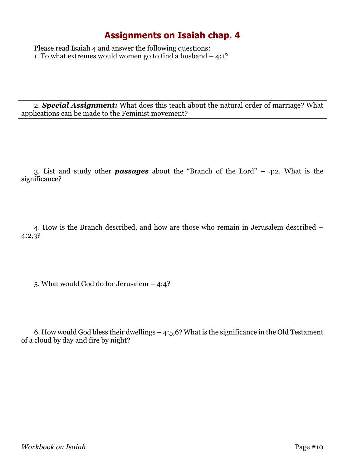Please read Isaiah 4 and answer the following questions: 1. To what extremes would women go to find a husband – 4:1?

2. *Special Assignment:* What does this teach about the natural order of marriage? What applications can be made to the Feminist movement?

3. List and study other *passages* about the "Branch of the Lord" – 4:2. What is the significance?

4. How is the Branch described, and how are those who remain in Jerusalem described – 4:2,3?

5. What would God do for Jerusalem – 4:4?

6. How would God bless their dwellings – 4:5,6? What is the significance in the Old Testament of a cloud by day and fire by night?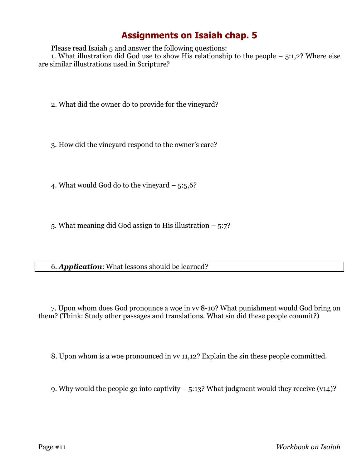Please read Isaiah 5 and answer the following questions:

1. What illustration did God use to show His relationship to the people  $-$  5:1,2? Where else are similar illustrations used in Scripture?

2. What did the owner do to provide for the vineyard?

3. How did the vineyard respond to the owner's care?

4. What would God do to the vineyard – 5:5,6?

5. What meaning did God assign to His illustration – 5:7?

6. *Application*: What lessons should be learned?

7. Upon whom does God pronounce a woe in vv 8-10? What punishment would God bring on them? (Think: Study other passages and translations. What sin did these people commit?)

8. Upon whom is a woe pronounced in vv 11,12? Explain the sin these people committed.

9. Why would the people go into captivity – 5:13? What judgment would they receive (v14)?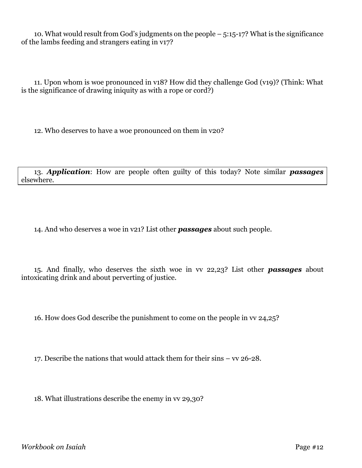10. What would result from God's judgments on the people – 5:15-17? What is the significance of the lambs feeding and strangers eating in v17?

11. Upon whom is woe pronounced in v18? How did they challenge God (v19)? (Think: What is the significance of drawing iniquity as with a rope or cord?)

12. Who deserves to have a woe pronounced on them in v20?

13. *Application*: How are people often guilty of this today? Note similar *passages* elsewhere.

14. And who deserves a woe in v21? List other *passages* about such people.

15. And finally, who deserves the sixth woe in vv 22,23? List other *passages* about intoxicating drink and about perverting of justice.

16. How does God describe the punishment to come on the people in vv 24,25?

17. Describe the nations that would attack them for their sins – vv 26-28.

18. What illustrations describe the enemy in vv 29,30?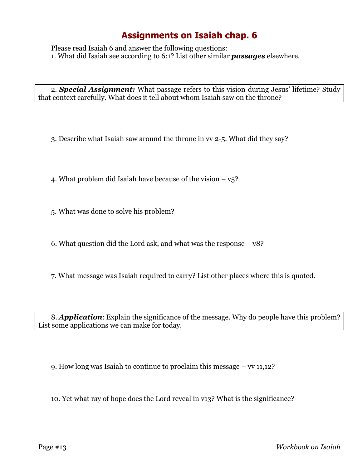Please read Isaiah 6 and answer the following questions: 1. What did Isaiah see according to 6:1? List other similar *passages* elsewhere.

2. *Special Assignment:* What passage refers to this vision during Jesus' lifetime? Study that context carefully. What does it tell about whom Isaiah saw on the throne?

3. Describe what Isaiah saw around the throne in vv 2-5. What did they say?

4. What problem did Isaiah have because of the vision  $-\nu$ 5?

5. What was done to solve his problem?

6. What question did the Lord ask, and what was the response – v8?

7. What message was Isaiah required to carry? List other places where this is quoted.

8. *Application*: Explain the significance of the message. Why do people have this problem? List some applications we can make for today.

9. How long was Isaiah to continue to proclaim this message – vv 11,12?

10. Yet what ray of hope does the Lord reveal in v13? What is the significance?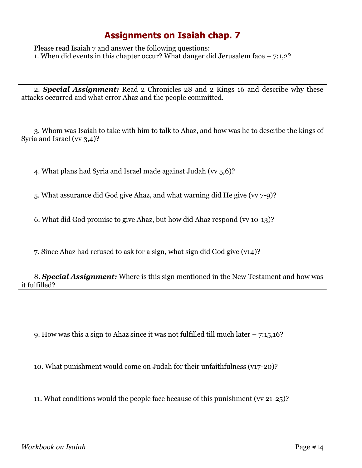Please read Isaiah 7 and answer the following questions: 1. When did events in this chapter occur? What danger did Jerusalem face – 7:1,2?

2. *Special Assignment:* Read 2 Chronicles 28 and 2 Kings 16 and describe why these attacks occurred and what error Ahaz and the people committed.

3. Whom was Isaiah to take with him to talk to Ahaz, and how was he to describe the kings of Syria and Israel (vv 3,4)?

4. What plans had Syria and Israel made against Judah (vv 5,6)?

5. What assurance did God give Ahaz, and what warning did He give (vv 7-9)?

6. What did God promise to give Ahaz, but how did Ahaz respond (vv 10-13)?

7. Since Ahaz had refused to ask for a sign, what sign did God give (v14)?

8. *Special Assignment:* Where is this sign mentioned in the New Testament and how was it fulfilled?

9. How was this a sign to Ahaz since it was not fulfilled till much later  $-7:15,16$ ?

10. What punishment would come on Judah for their unfaithfulness (v17-20)?

11. What conditions would the people face because of this punishment (vv 21-25)?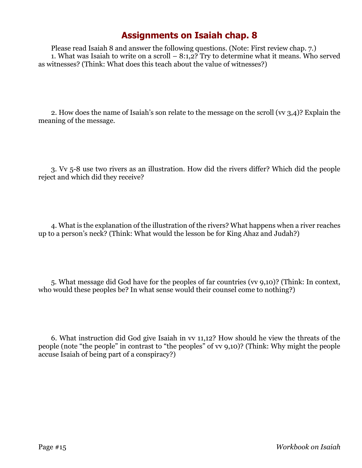Please read Isaiah 8 and answer the following questions. (Note: First review chap. 7.) 1. What was Isaiah to write on a scroll  $-8:1,2$ ? Try to determine what it means. Who served as witnesses? (Think: What does this teach about the value of witnesses?)

2. How does the name of Isaiah's son relate to the message on the scroll (vv 3,4)? Explain the meaning of the message.

3. Vv 5-8 use two rivers as an illustration. How did the rivers differ? Which did the people reject and which did they receive?

4. What is the explanation of the illustration of the rivers? What happens when a river reaches up to a person's neck? (Think: What would the lesson be for King Ahaz and Judah?)

5. What message did God have for the peoples of far countries (vv 9,10)? (Think: In context, who would these peoples be? In what sense would their counsel come to nothing?)

6. What instruction did God give Isaiah in vv 11,12? How should he view the threats of the people (note "the people" in contrast to "the peoples" of vv 9,10)? (Think: Why might the people accuse Isaiah of being part of a conspiracy?)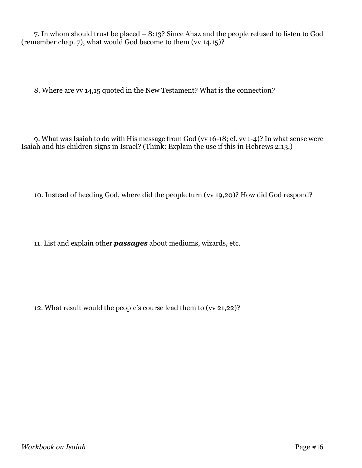7. In whom should trust be placed – 8:13? Since Ahaz and the people refused to listen to God (remember chap. 7), what would God become to them (vv 14,15)?

8. Where are vv 14,15 quoted in the New Testament? What is the connection?

9. What was Isaiah to do with His message from God (vv 16-18; cf. vv 1-4)? In what sense were Isaiah and his children signs in Israel? (Think: Explain the use if this in Hebrews 2:13.)

10. Instead of heeding God, where did the people turn (vv 19,20)? How did God respond?

11. List and explain other *passages* about mediums, wizards, etc.

12. What result would the people's course lead them to (vv 21,22)?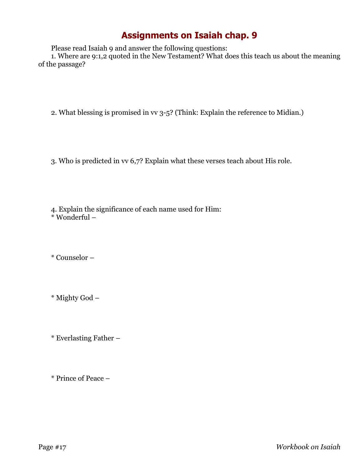Please read Isaiah 9 and answer the following questions:

1. Where are 9:1,2 quoted in the New Testament? What does this teach us about the meaning of the passage?

2. What blessing is promised in vv 3-5? (Think: Explain the reference to Midian.)

3. Who is predicted in vv 6,7? Explain what these verses teach about His role.

4. Explain the significance of each name used for Him: \* Wonderful –

\* Counselor –

\* Mighty God –

\* Everlasting Father –

\* Prince of Peace –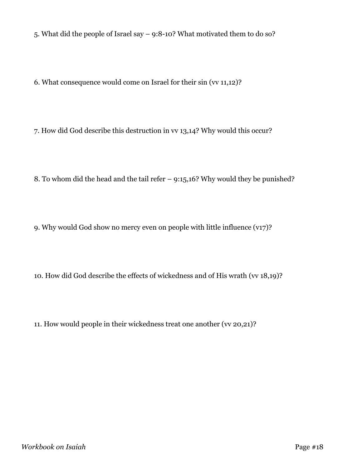5. What did the people of Israel say – 9:8-10? What motivated them to do so?

6. What consequence would come on Israel for their sin (vv 11,12)?

7. How did God describe this destruction in vv 13,14? Why would this occur?

8. To whom did the head and the tail refer – 9:15,16? Why would they be punished?

9. Why would God show no mercy even on people with little influence (v17)?

10. How did God describe the effects of wickedness and of His wrath (vv 18,19)?

11. How would people in their wickedness treat one another (vv 20,21)?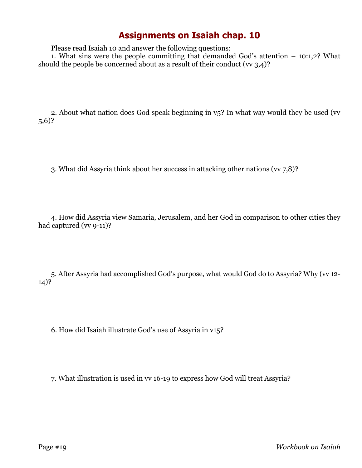Please read Isaiah 10 and answer the following questions:

1. What sins were the people committing that demanded God's attention – 10:1,2? What should the people be concerned about as a result of their conduct (vv  $3,4$ )?

2. About what nation does God speak beginning in v<sub>5</sub>? In what way would they be used (vv 5,6)?

3. What did Assyria think about her success in attacking other nations (vv 7,8)?

4. How did Assyria view Samaria, Jerusalem, and her God in comparison to other cities they had captured (vv 9-11)?

5. After Assyria had accomplished God's purpose, what would God do to Assyria? Why (vv 12- 14)?

6. How did Isaiah illustrate God's use of Assyria in v15?

7. What illustration is used in vv 16-19 to express how God will treat Assyria?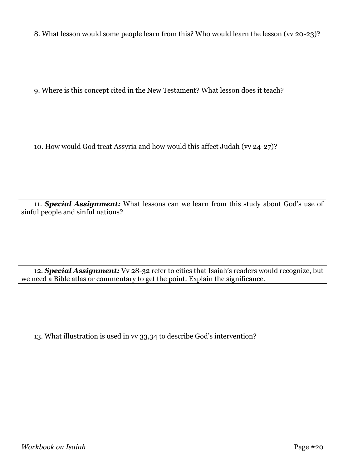8. What lesson would some people learn from this? Who would learn the lesson (vv 20-23)?

9. Where is this concept cited in the New Testament? What lesson does it teach?

10. How would God treat Assyria and how would this affect Judah (vv 24-27)?

11. *Special Assignment:* What lessons can we learn from this study about God's use of sinful people and sinful nations?

12. *Special Assignment:* Vv 28-32 refer to cities that Isaiah's readers would recognize, but we need a Bible atlas or commentary to get the point. Explain the significance.

13. What illustration is used in vv 33,34 to describe God's intervention?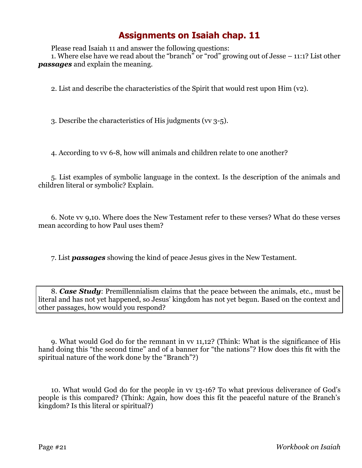Please read Isaiah 11 and answer the following questions:

1. Where else have we read about the "branch" or "rod" growing out of Jesse – 11:1? List other *passages* and explain the meaning.

2. List and describe the characteristics of the Spirit that would rest upon Him (v2).

3. Describe the characteristics of His judgments (vv 3-5).

4. According to vv 6-8, how will animals and children relate to one another?

5. List examples of symbolic language in the context. Is the description of the animals and children literal or symbolic? Explain.

6. Note vv 9,10. Where does the New Testament refer to these verses? What do these verses mean according to how Paul uses them?

7. List *passages* showing the kind of peace Jesus gives in the New Testament.

8. *Case Study*: Premillennialism claims that the peace between the animals, etc., must be literal and has not yet happened, so Jesus' kingdom has not yet begun. Based on the context and other passages, how would you respond?

9. What would God do for the remnant in vv 11,12? (Think: What is the significance of His hand doing this "the second time" and of a banner for "the nations"? How does this fit with the spiritual nature of the work done by the "Branch"?)

10. What would God do for the people in vv 13-16? To what previous deliverance of God's people is this compared? (Think: Again, how does this fit the peaceful nature of the Branch's kingdom? Is this literal or spiritual?)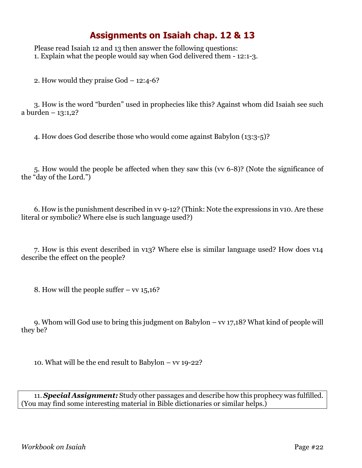Please read Isaiah 12 and 13 then answer the following questions: 1. Explain what the people would say when God delivered them - 12:1-3.

2. How would they praise God – 12:4-6?

3. How is the word "burden" used in prophecies like this? Against whom did Isaiah see such a burden – 13:1,2?

4. How does God describe those who would come against Babylon (13:3-5)?

5. How would the people be affected when they saw this (vv 6-8)? (Note the significance of the "day of the Lord.")

6. How is the punishment described in vv 9-12? (Think: Note the expressions in v10. Are these literal or symbolic? Where else is such language used?)

7. How is this event described in v13? Where else is similar language used? How does v14 describe the effect on the people?

8. How will the people suffer  $-$  vv  $15,16$ ?

9. Whom will God use to bring this judgment on Babylon – vv 17,18? What kind of people will they be?

10. What will be the end result to Babylon – vv 19-22?

11. *Special Assignment:* Study other passages and describe how this prophecy was fulfilled. (You may find some interesting material in Bible dictionaries or similar helps.)

*Workbook on Isaiah* Page #22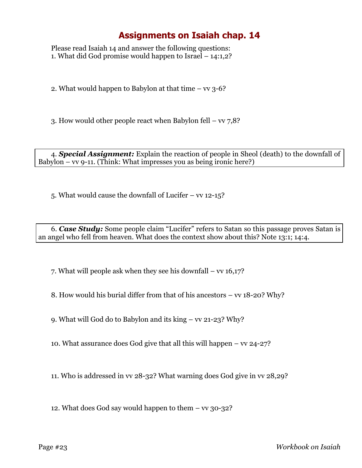Please read Isaiah 14 and answer the following questions: 1. What did God promise would happen to Israel – 14:1,2?

2. What would happen to Babylon at that time  $-$  vv 3-6?

3. How would other people react when Babylon fell – vv 7,8?

4. *Special Assignment:* Explain the reaction of people in Sheol (death) to the downfall of Babylon – vv 9-11. (Think: What impresses you as being ironic here?)

5. What would cause the downfall of Lucifer – vv 12-15?

6. *Case Study:* Some people claim "Lucifer" refers to Satan so this passage proves Satan is an angel who fell from heaven. What does the context show about this? Note 13:1; 14:4.

7. What will people ask when they see his downfall – vv 16,17?

8. How would his burial differ from that of his ancestors – vv 18-20? Why?

9. What will God do to Babylon and its king – vv 21-23? Why?

10. What assurance does God give that all this will happen  $-$  vv 24-27?

11. Who is addressed in vv 28-32? What warning does God give in vv 28,29?

12. What does God say would happen to them – vv 30-32?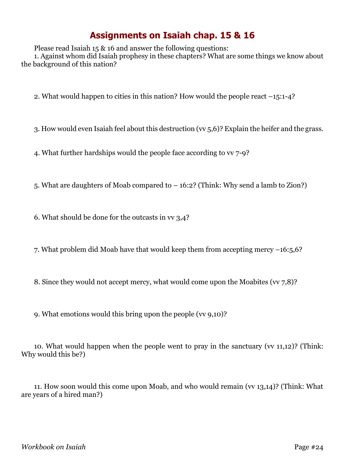Please read Isaiah 15 & 16 and answer the following questions: 1. Against whom did Isaiah prophesy in these chapters? What are some things we know about the background of this nation?

2. What would happen to cities in this nation? How would the people react –15:1-4?

3. How would even Isaiah feel about this destruction (vv 5,6)? Explain the heifer and the grass.

4. What further hardships would the people face according to vv 7-9?

5. What are daughters of Moab compared to – 16:2? (Think: Why send a lamb to Zion?)

6. What should be done for the outcasts in vv 3,4?

7. What problem did Moab have that would keep them from accepting mercy –16:5,6?

8. Since they would not accept mercy, what would come upon the Moabites (vv 7,8)?

9. What emotions would this bring upon the people (vv 9,10)?

10. What would happen when the people went to pray in the sanctuary (vv 11,12)? (Think: Why would this be?)

11. How soon would this come upon Moab, and who would remain (vv 13,14)? (Think: What are years of a hired man?)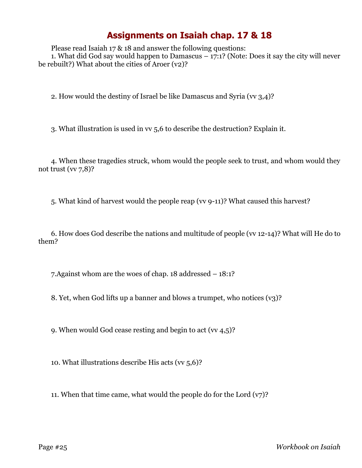Please read Isaiah 17 & 18 and answer the following questions:

1. What did God say would happen to Damascus – 17:1? (Note: Does it say the city will never be rebuilt?) What about the cities of Aroer (v2)?

2. How would the destiny of Israel be like Damascus and Syria (vv 3,4)?

3. What illustration is used in vv 5,6 to describe the destruction? Explain it.

4. When these tragedies struck, whom would the people seek to trust, and whom would they not trust  $(wz, 8)$ ?

5. What kind of harvest would the people reap (vv 9-11)? What caused this harvest?

6. How does God describe the nations and multitude of people (vv 12-14)? What will He do to them?

7.Against whom are the woes of chap. 18 addressed – 18:1?

8. Yet, when God lifts up a banner and blows a trumpet, who notices (v3)?

9. When would God cease resting and begin to act (vv 4,5)?

10. What illustrations describe His acts (vv 5,6)?

11. When that time came, what would the people do for the Lord  $(v7)$ ?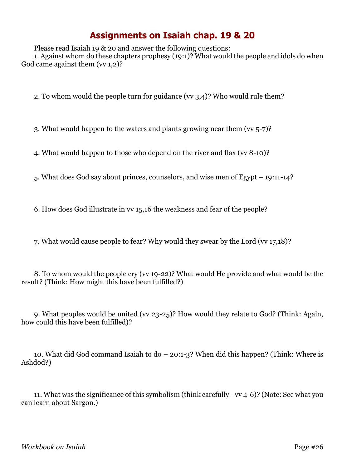Please read Isaiah 19 & 20 and answer the following questions: 1. Against whom do these chapters prophesy (19:1)? What would the people and idols do when God came against them (vv 1,2)?

2. To whom would the people turn for guidance (vv 3,4)? Who would rule them?

3. What would happen to the waters and plants growing near them (vv 5-7)?

4. What would happen to those who depend on the river and flax (vv 8-10)?

5. What does God say about princes, counselors, and wise men of Egypt – 19:11-14?

6. How does God illustrate in vv 15,16 the weakness and fear of the people?

7. What would cause people to fear? Why would they swear by the Lord (vv 17,18)?

8. To whom would the people cry (vv 19-22)? What would He provide and what would be the result? (Think: How might this have been fulfilled?)

9. What peoples would be united (vv 23-25)? How would they relate to God? (Think: Again, how could this have been fulfilled)?

10. What did God command Isaiah to do – 20:1-3? When did this happen? (Think: Where is Ashdod?)

11. What was the significance of this symbolism (think carefully - vv 4-6)? (Note: See what you can learn about Sargon.)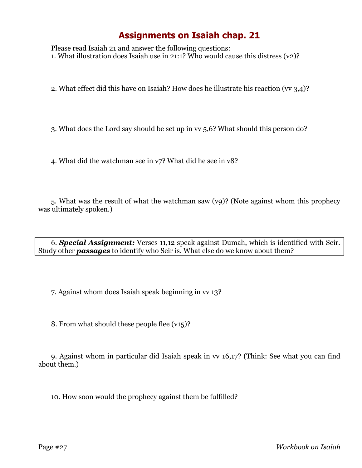Please read Isaiah 21 and answer the following questions: 1. What illustration does Isaiah use in 21:1? Who would cause this distress (v2)?

2. What effect did this have on Isaiah? How does he illustrate his reaction (vv 3,4)?

3. What does the Lord say should be set up in vv 5,6? What should this person do?

4. What did the watchman see in v7? What did he see in v8?

5. What was the result of what the watchman saw (v9)? (Note against whom this prophecy was ultimately spoken.)

6. *Special Assignment:* Verses 11,12 speak against Dumah, which is identified with Seir. Study other *passages* to identify who Seir is. What else do we know about them?

7. Against whom does Isaiah speak beginning in vv 13?

8. From what should these people flee (v15)?

9. Against whom in particular did Isaiah speak in vv 16,17? (Think: See what you can find about them.)

10. How soon would the prophecy against them be fulfilled?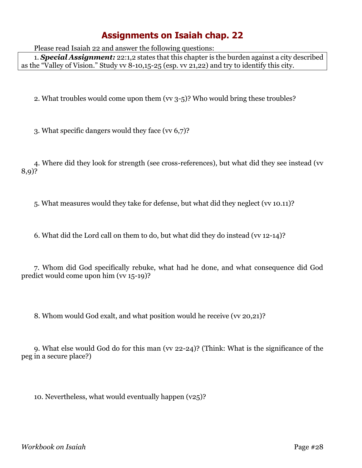Please read Isaiah 22 and answer the following questions:

1. *Special Assignment:* 22:1,2 states that this chapter is the burden against a city described as the "Valley of Vision." Study vv 8-10,15-25 (esp. vv 21,22) and try to identify this city.

2. What troubles would come upon them (vv 3-5)? Who would bring these troubles?

3. What specific dangers would they face (vv 6,7)?

4. Where did they look for strength (see cross-references), but what did they see instead (vv 8,9)?

5. What measures would they take for defense, but what did they neglect (vv 10.11)?

6. What did the Lord call on them to do, but what did they do instead (vv 12-14)?

7. Whom did God specifically rebuke, what had he done, and what consequence did God predict would come upon him (vv 15-19)?

8. Whom would God exalt, and what position would he receive (vv 20,21)?

9. What else would God do for this man (vv 22-24)? (Think: What is the significance of the peg in a secure place?)

10. Nevertheless, what would eventually happen (v25)?

*Workbook on Isaiah* Page #28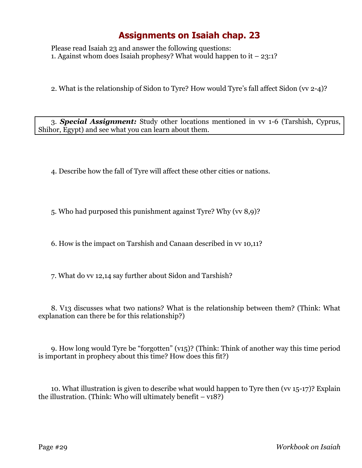Please read Isaiah 23 and answer the following questions: 1. Against whom does Isaiah prophesy? What would happen to it  $-23:1?$ 

2. What is the relationship of Sidon to Tyre? How would Tyre's fall affect Sidon (vv 2-4)?

3. *Special Assignment:* Study other locations mentioned in vv 1-6 (Tarshish, Cyprus, Shihor, Egypt) and see what you can learn about them.

4. Describe how the fall of Tyre will affect these other cities or nations.

5. Who had purposed this punishment against Tyre? Why (vv 8,9)?

6. How is the impact on Tarshish and Canaan described in vv 10,11?

7. What do vv 12,14 say further about Sidon and Tarshish?

8. V13 discusses what two nations? What is the relationship between them? (Think: What explanation can there be for this relationship?)

9. How long would Tyre be "forgotten" (v15)? (Think: Think of another way this time period is important in prophecy about this time? How does this fit?)

10. What illustration is given to describe what would happen to Tyre then (vv 15-17)? Explain the illustration. (Think: Who will ultimately benefit  $- v18$ ?)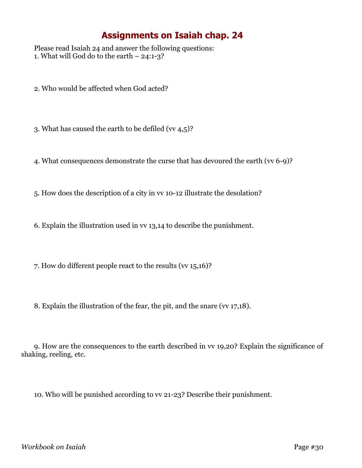Please read Isaiah 24 and answer the following questions: 1. What will God do to the earth  $-24:1-3$ ?

- 2. Who would be affected when God acted?
- 3. What has caused the earth to be defiled (vv 4,5)?
- 4. What consequences demonstrate the curse that has devoured the earth (vv 6-9)?
- 5. How does the description of a city in vv 10-12 illustrate the desolation?
- 6. Explain the illustration used in vv 13,14 to describe the punishment.
- 7. How do different people react to the results (vv 15,16)?
- 8. Explain the illustration of the fear, the pit, and the snare (vv 17,18).

9. How are the consequences to the earth described in vv 19,20? Explain the significance of shaking, reeling, etc.

10. Who will be punished according to vv 21-23? Describe their punishment.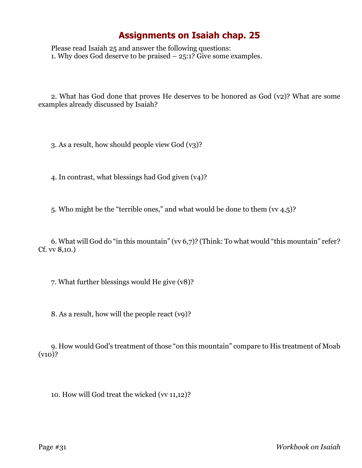Please read Isaiah 25 and answer the following questions: 1. Why does God deserve to be praised  $-25:1?$  Give some examples.

2. What has God done that proves He deserves to be honored as God (v2)? What are some examples already discussed by Isaiah?

3. As a result, how should people view God (v3)?

4. In contrast, what blessings had God given (v4)?

5. Who might be the "terrible ones," and what would be done to them (vv 4,5)?

6. What will God do "in this mountain" (vv 6,7)? (Think: To what would "this mountain" refer? Cf. vv 8,10.)

7. What further blessings would He give (v8)?

8. As a result, how will the people react (v9)?

9. How would God's treatment of those "on this mountain" compare to His treatment of Moab (v10)?

10. How will God treat the wicked (vv 11,12)?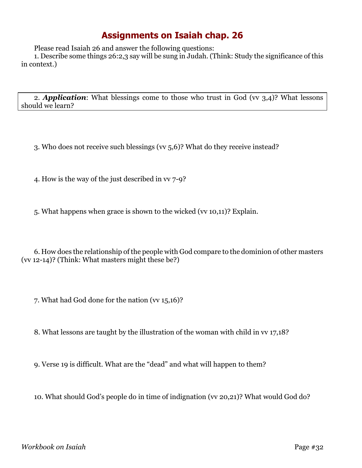Please read Isaiah 26 and answer the following questions:

1. Describe some things 26:2,3 say will be sung in Judah. (Think: Study the significance of this in context.)

2. **Application**: What blessings come to those who trust in God (vv 3,4)? What lessons should we learn?

3. Who does not receive such blessings (vv 5,6)? What do they receive instead?

4. How is the way of the just described in vv 7-9?

5. What happens when grace is shown to the wicked (vv 10,11)? Explain.

6. How does the relationship of the people with God compare to the dominion of other masters (vv 12-14)? (Think: What masters might these be?)

7. What had God done for the nation (vv 15,16)?

8. What lessons are taught by the illustration of the woman with child in vv 17,18?

9. Verse 19 is difficult. What are the "dead" and what will happen to them?

10. What should God's people do in time of indignation (vv 20,21)? What would God do?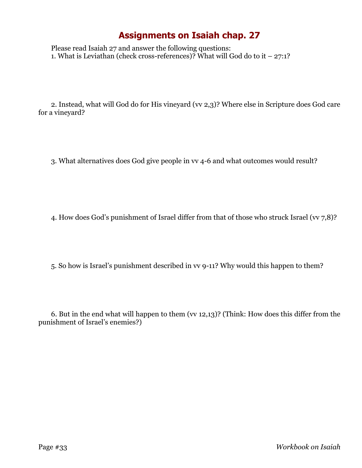Please read Isaiah 27 and answer the following questions: 1. What is Leviathan (check cross-references)? What will God do to it – 27:1?

2. Instead, what will God do for His vineyard (vv 2,3)? Where else in Scripture does God care for a vineyard?

3. What alternatives does God give people in vv 4-6 and what outcomes would result?

4. How does God's punishment of Israel differ from that of those who struck Israel (vv 7,8)?

5. So how is Israel's punishment described in vv 9-11? Why would this happen to them?

6. But in the end what will happen to them (vv 12,13)? (Think: How does this differ from the punishment of Israel's enemies?)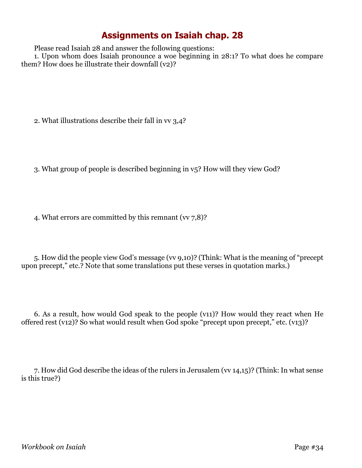Please read Isaiah 28 and answer the following questions:

1. Upon whom does Isaiah pronounce a woe beginning in 28:1? To what does he compare them? How does he illustrate their downfall (v2)?

2. What illustrations describe their fall in vv 3,4?

3. What group of people is described beginning in v5? How will they view God?

4. What errors are committed by this remnant (vv 7,8)?

5. How did the people view God's message (vv 9,10)? (Think: What is the meaning of "precept upon precept," etc.? Note that some translations put these verses in quotation marks.)

6. As a result, how would God speak to the people (v11)? How would they react when He offered rest (v12)? So what would result when God spoke "precept upon precept," etc. (v13)?

7. How did God describe the ideas of the rulers in Jerusalem (vv 14,15)? (Think: In what sense is this true?)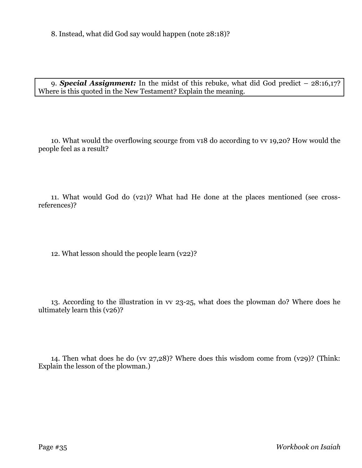8. Instead, what did God say would happen (note 28:18)?

9. *Special Assignment:* In the midst of this rebuke, what did God predict – 28:16,17? Where is this quoted in the New Testament? Explain the meaning.

10. What would the overflowing scourge from v18 do according to vv 19,20? How would the people feel as a result?

11. What would God do (v21)? What had He done at the places mentioned (see crossreferences)?

12. What lesson should the people learn (v22)?

13. According to the illustration in vv 23-25, what does the plowman do? Where does he ultimately learn this (v26)?

14. Then what does he do (vv 27,28)? Where does this wisdom come from (v29)? (Think: Explain the lesson of the plowman.)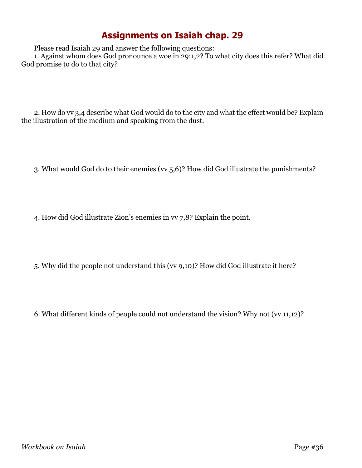Please read Isaiah 29 and answer the following questions:

1. Against whom does God pronounce a woe in 29:1,2? To what city does this refer? What did God promise to do to that city?

2. How do vv 3,4 describe what God would do to the city and what the effect would be? Explain the illustration of the medium and speaking from the dust.

3. What would God do to their enemies (vv 5,6)? How did God illustrate the punishments?

4. How did God illustrate Zion's enemies in vv 7,8? Explain the point.

5. Why did the people not understand this (vv 9,10)? How did God illustrate it here?

6. What different kinds of people could not understand the vision? Why not (vv 11,12)?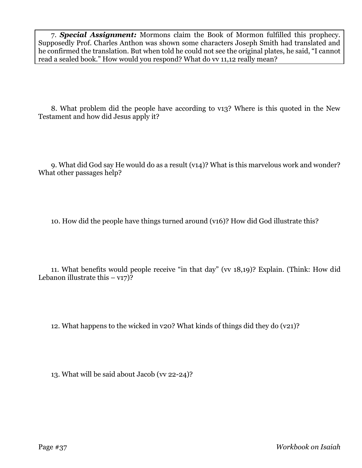7. *Special Assignment:* Mormons claim the Book of Mormon fulfilled this prophecy. Supposedly Prof. Charles Anthon was shown some characters Joseph Smith had translated and he confirmed the translation. But when told he could not see the original plates, he said, "I cannot read a sealed book." How would you respond? What do vv 11,12 really mean?

8. What problem did the people have according to v13? Where is this quoted in the New Testament and how did Jesus apply it?

9. What did God say He would do as a result (v14)? What is this marvelous work and wonder? What other passages help?

10. How did the people have things turned around (v16)? How did God illustrate this?

11. What benefits would people receive "in that day" (vv 18,19)? Explain. (Think: How did Lebanon illustrate this  $- v17$ ?

12. What happens to the wicked in v20? What kinds of things did they do (v21)?

13. What will be said about Jacob (vv 22-24)?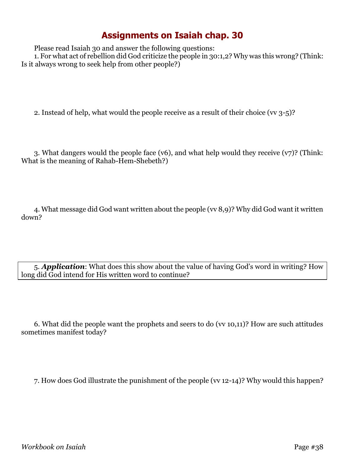Please read Isaiah 30 and answer the following questions:

1. For what act of rebellion did God criticize the people in 30:1,2? Why was this wrong? (Think: Is it always wrong to seek help from other people?)

2. Instead of help, what would the people receive as a result of their choice (vv 3-5)?

3. What dangers would the people face (v6), and what help would they receive (v7)? (Think: What is the meaning of Rahab-Hem-Shebeth?)

4. What message did God want written about the people (vv 8,9)? Why did God want it written down?

5. *Application*: What does this show about the value of having God's word in writing? How long did God intend for His written word to continue?

6. What did the people want the prophets and seers to do (vv 10,11)? How are such attitudes sometimes manifest today?

7. How does God illustrate the punishment of the people (vv 12-14)? Why would this happen?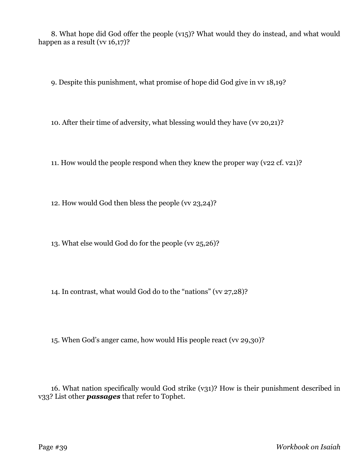8. What hope did God offer the people (v15)? What would they do instead, and what would happen as a result (vv 16,17)?

9. Despite this punishment, what promise of hope did God give in vv 18,19?

10. After their time of adversity, what blessing would they have (vv 20,21)?

11. How would the people respond when they knew the proper way (v22 cf. v21)?

12. How would God then bless the people (vv 23,24)?

13. What else would God do for the people (vv 25,26)?

14. In contrast, what would God do to the "nations" (vv 27,28)?

15. When God's anger came, how would His people react (vv 29,30)?

16. What nation specifically would God strike (v31)? How is their punishment described in v33? List other *passages* that refer to Tophet.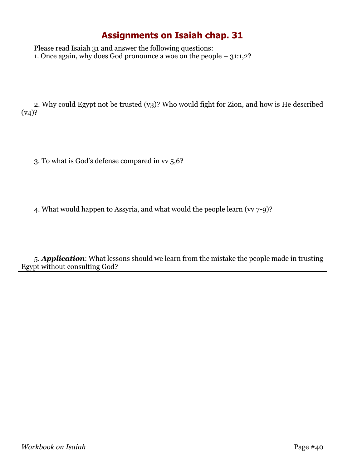Please read Isaiah 31 and answer the following questions: 1. Once again, why does God pronounce a woe on the people – 31:1,2?

2. Why could Egypt not be trusted (v3)? Who would fight for Zion, and how is He described  $(v4)?$ 

3. To what is God's defense compared in vv 5,6?

4. What would happen to Assyria, and what would the people learn (vv 7-9)?

5. *Application*: What lessons should we learn from the mistake the people made in trusting Egypt without consulting God?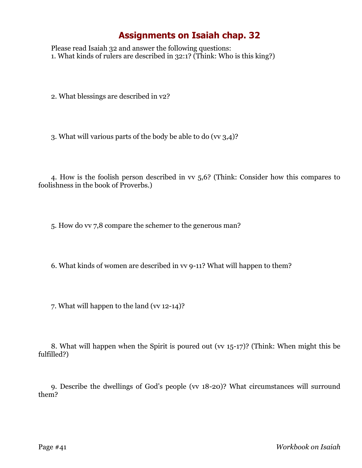Please read Isaiah 32 and answer the following questions: 1. What kinds of rulers are described in 32:1? (Think: Who is this king?)

2. What blessings are described in v2?

3. What will various parts of the body be able to do (vv 3,4)?

4. How is the foolish person described in vv 5,6? (Think: Consider how this compares to foolishness in the book of Proverbs.)

5. How do vv 7,8 compare the schemer to the generous man?

6. What kinds of women are described in vv 9-11? What will happen to them?

7. What will happen to the land (vv 12-14)?

8. What will happen when the Spirit is poured out (vv 15-17)? (Think: When might this be fulfilled?)

9. Describe the dwellings of God's people (vv 18-20)? What circumstances will surround them?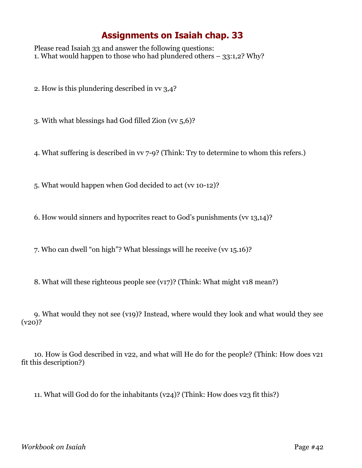Please read Isaiah 33 and answer the following questions: 1. What would happen to those who had plundered others – 33:1,2? Why?

2. How is this plundering described in vv 3,4?

3. With what blessings had God filled Zion (vv 5,6)?

4. What suffering is described in vv 7-9? (Think: Try to determine to whom this refers.)

5. What would happen when God decided to act (vv 10-12)?

6. How would sinners and hypocrites react to God's punishments (vv 13,14)?

7. Who can dwell "on high"? What blessings will he receive (vv 15.16)?

8. What will these righteous people see (v17)? (Think: What might v18 mean?)

9. What would they not see (v19)? Instead, where would they look and what would they see  $(v20)$ ?

10. How is God described in v22, and what will He do for the people? (Think: How does v21 fit this description?)

11. What will God do for the inhabitants (v24)? (Think: How does v23 fit this?)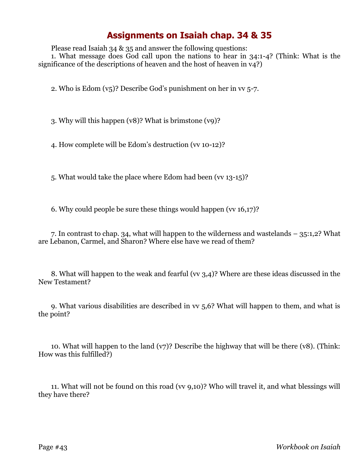Please read Isaiah 34 & 35 and answer the following questions:

1. What message does God call upon the nations to hear in 34:1-4? (Think: What is the significance of the descriptions of heaven and the host of heaven in  $v_4$ ?)

2. Who is Edom (v5)? Describe God's punishment on her in vv 5-7.

3. Why will this happen (v8)? What is brimstone (v9)?

4. How complete will be Edom's destruction (vv 10-12)?

5. What would take the place where Edom had been (vv 13-15)?

6. Why could people be sure these things would happen (vv 16,17)?

7. In contrast to chap. 34, what will happen to the wilderness and wastelands – 35:1,2? What are Lebanon, Carmel, and Sharon? Where else have we read of them?

8. What will happen to the weak and fearful (vv 3,4)? Where are these ideas discussed in the New Testament?

9. What various disabilities are described in vv 5,6? What will happen to them, and what is the point?

10. What will happen to the land  $(v7)$ ? Describe the highway that will be there  $(v8)$ . (Think: How was this fulfilled?)

11. What will not be found on this road (vv 9,10)? Who will travel it, and what blessings will they have there?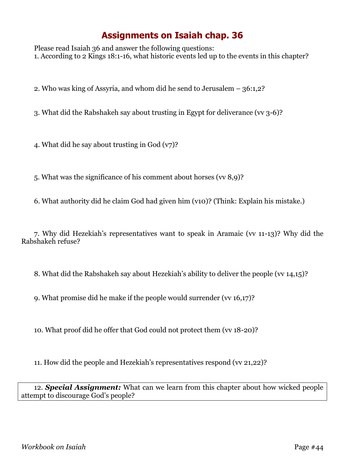Please read Isaiah 36 and answer the following questions: 1. According to 2 Kings 18:1-16, what historic events led up to the events in this chapter?

2. Who was king of Assyria, and whom did he send to Jerusalem – 36:1,2?

3. What did the Rabshakeh say about trusting in Egypt for deliverance (vv 3-6)?

4. What did he say about trusting in God (v7)?

5. What was the significance of his comment about horses (vv 8,9)?

6. What authority did he claim God had given him (v10)? (Think: Explain his mistake.)

7. Why did Hezekiah's representatives want to speak in Aramaic (vv 11-13)? Why did the Rabshakeh refuse?

8. What did the Rabshakeh say about Hezekiah's ability to deliver the people (vv 14,15)?

9. What promise did he make if the people would surrender (vv 16,17)?

10. What proof did he offer that God could not protect them (vv 18-20)?

11. How did the people and Hezekiah's representatives respond (vv 21,22)?

12. *Special Assignment:* What can we learn from this chapter about how wicked people attempt to discourage God's people?

*Workbook on Isaiah* Page #44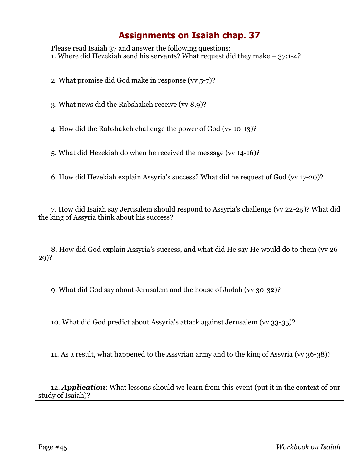Please read Isaiah 37 and answer the following questions: 1. Where did Hezekiah send his servants? What request did they make – 37:1-4?

2. What promise did God make in response (vv 5-7)?

3. What news did the Rabshakeh receive (vv 8,9)?

4. How did the Rabshakeh challenge the power of God (vv 10-13)?

5. What did Hezekiah do when he received the message (vv 14-16)?

6. How did Hezekiah explain Assyria's success? What did he request of God (vv 17-20)?

7. How did Isaiah say Jerusalem should respond to Assyria's challenge (vv 22-25)? What did the king of Assyria think about his success?

8. How did God explain Assyria's success, and what did He say He would do to them (vv 26- 29)?

9. What did God say about Jerusalem and the house of Judah (vv 30-32)?

10. What did God predict about Assyria's attack against Jerusalem (vv 33-35)?

11. As a result, what happened to the Assyrian army and to the king of Assyria (vv 36-38)?

12. *Application*: What lessons should we learn from this event (put it in the context of our study of Isaiah)?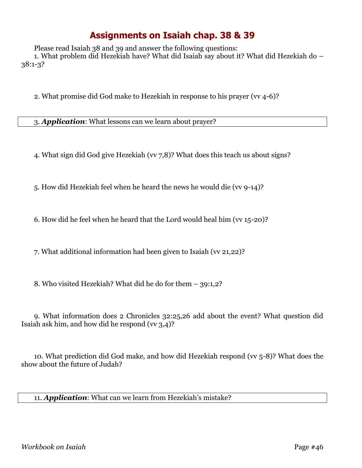Please read Isaiah 38 and 39 and answer the following questions:

1. What problem did Hezekiah have? What did Isaiah say about it? What did Hezekiah do – 38:1-3?

2. What promise did God make to Hezekiah in response to his prayer (vv 4-6)?

3. *Application*: What lessons can we learn about prayer?

4. What sign did God give Hezekiah (vv 7,8)? What does this teach us about signs?

5. How did Hezekiah feel when he heard the news he would die (vv 9-14)?

6. How did he feel when he heard that the Lord would heal him (vv 15-20)?

7. What additional information had been given to Isaiah (vv 21,22)?

8. Who visited Hezekiah? What did he do for them – 39:1,2?

9. What information does 2 Chronicles 32:25,26 add about the event? What question did Isaiah ask him, and how did he respond (vv 3,4)?

10. What prediction did God make, and how did Hezekiah respond (vv 5-8)? What does the show about the future of Judah?

11. *Application*: What can we learn from Hezekiah's mistake?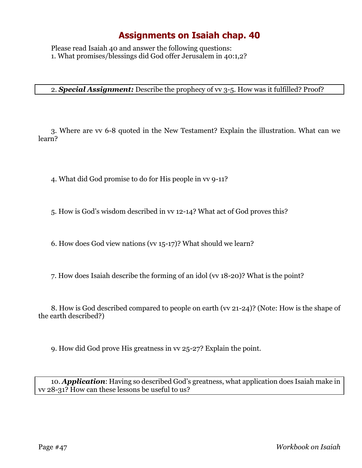Please read Isaiah 40 and answer the following questions: 1. What promises/blessings did God offer Jerusalem in 40:1,2?

#### 2. *Special Assignment:* Describe the prophecy of vv 3-5. How was it fulfilled? Proof?

3. Where are vv 6-8 quoted in the New Testament? Explain the illustration. What can we learn?

4. What did God promise to do for His people in vv 9-11?

5. How is God's wisdom described in vv 12-14? What act of God proves this?

6. How does God view nations (vv 15-17)? What should we learn?

7. How does Isaiah describe the forming of an idol (vv 18-20)? What is the point?

8. How is God described compared to people on earth (vv 21-24)? (Note: How is the shape of the earth described?)

9. How did God prove His greatness in vv 25-27? Explain the point.

10. *Application*: Having so described God's greatness, what application does Isaiah make in vv 28-31? How can these lessons be useful to us?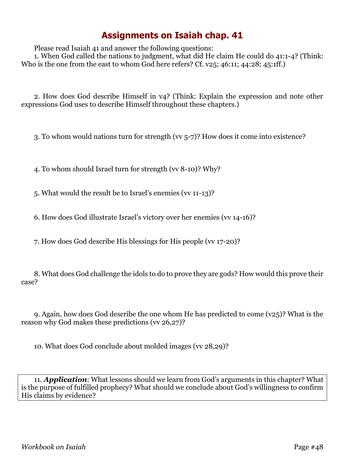Please read Isaiah 41 and answer the following questions:

1. When God called the nations to judgment, what did He claim He could do 41:1-4? (Think: Who is the one from the east to whom God here refers? Cf. v25; 46:11; 44:28; 45:1ff.)

2. How does God describe Himself in v4? (Think: Explain the expression and note other expressions God uses to describe Himself throughout these chapters.)

3. To whom would nations turn for strength (vv 5-7)? How does it come into existence?

4. To whom should Israel turn for strength (vv 8-10)? Why?

5. What would the result be to Israel's enemies (vv 11-13)?

6. How does God illustrate Israel's victory over her enemies (vv 14-16)?

7. How does God describe His blessings for His people (vv 17-20)?

8. What does God challenge the idols to do to prove they are gods? How would this prove their case?

9. Again, how does God describe the one whom He has predicted to come (v25)? What is the reason why God makes these predictions (vv 26,27)?

10. What does God conclude about molded images (vv 28,29)?

11. *Application*: What lessons should we learn from God's arguments in this chapter? What is the purpose of fulfilled prophecy? What should we conclude about God's willingness to confirm His claims by evidence?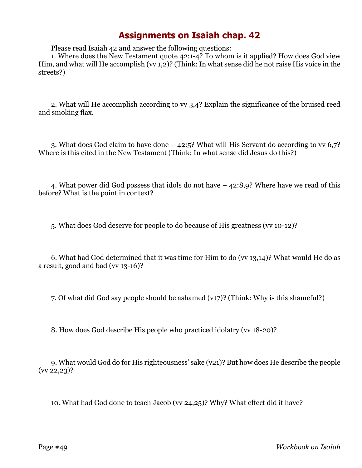Please read Isaiah 42 and answer the following questions:

1. Where does the New Testament quote 42:1-4? To whom is it applied? How does God view Him, and what will He accomplish (vv 1,2)? (Think: In what sense did he not raise His voice in the streets?)

2. What will He accomplish according to vv 3,4? Explain the significance of the bruised reed and smoking flax.

3. What does God claim to have done – 42:5? What will His Servant do according to vv 6,7? Where is this cited in the New Testament (Think: In what sense did Jesus do this?)

4. What power did God possess that idols do not have – 42:8,9? Where have we read of this before? What is the point in context?

5. What does God deserve for people to do because of His greatness (vv 10-12)?

6. What had God determined that it was time for Him to do (vv 13,14)? What would He do as a result, good and bad (vv 13-16)?

7. Of what did God say people should be ashamed (v17)? (Think: Why is this shameful?)

8. How does God describe His people who practiced idolatry (vv 18-20)?

9. What would God do for His righteousness' sake (v21)? But how does He describe the people (vv 22,23)?

10. What had God done to teach Jacob (vv 24,25)? Why? What effect did it have?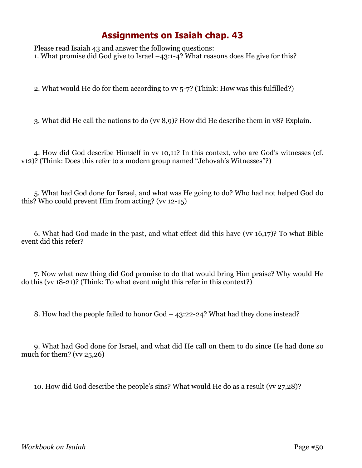Please read Isaiah 43 and answer the following questions: 1. What promise did God give to Israel –43:1-4? What reasons does He give for this?

2. What would He do for them according to vv 5-7? (Think: How was this fulfilled?)

3. What did He call the nations to do (vv 8,9)? How did He describe them in v8? Explain.

4. How did God describe Himself in vv 10,11? In this context, who are God's witnesses (cf. v12)? (Think: Does this refer to a modern group named "Jehovah's Witnesses"?)

5. What had God done for Israel, and what was He going to do? Who had not helped God do this? Who could prevent Him from acting?  $(w_1 12-15)$ 

6. What had God made in the past, and what effect did this have (vv 16,17)? To what Bible event did this refer?

7. Now what new thing did God promise to do that would bring Him praise? Why would He do this (vv 18-21)? (Think: To what event might this refer in this context?)

8. How had the people failed to honor God – 43:22-24? What had they done instead?

9. What had God done for Israel, and what did He call on them to do since He had done so much for them? ( $\overline{\text{vv}}$  25,26)

10. How did God describe the people's sins? What would He do as a result (vv 27,28)?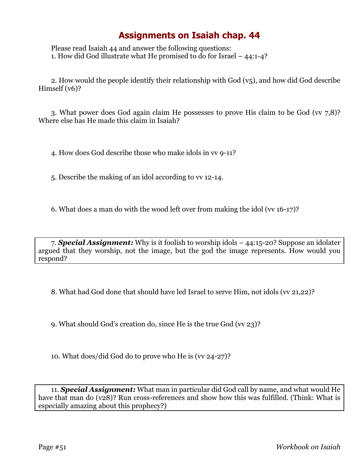Please read Isaiah 44 and answer the following questions: 1. How did God illustrate what He promised to do for Israel – 44:1-4?

2. How would the people identify their relationship with God (v5), and how did God describe Himself (v6)?

3. What power does God again claim He possesses to prove His claim to be God (vv 7,8)? Where else has He made this claim in Isaiah?

4. How does God describe those who make idols in vv 9-11?

5. Describe the making of an idol according to vv 12-14.

6. What does a man do with the wood left over from making the idol (vv 16-17)?

7. *Special Assignment:* Why is it foolish to worship idols – 44:15-20? Suppose an idolater argued that they worship, not the image, but the god the image represents. How would you respond?

8. What had God done that should have led Israel to serve Him, not idols (vv 21,22)?

9. What should God's creation do, since He is the true God (vv 23)?

10. What does/did God do to prove who He is (vv 24-27)?

11. *Special Assignment:* What man in particular did God call by name, and what would He have that man do (v28)? Run cross-references and show how this was fulfilled. (Think: What is especially amazing about this prophecy?)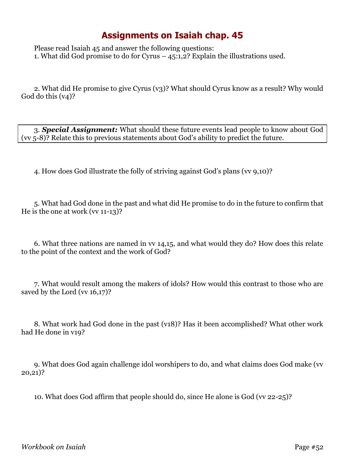Please read Isaiah 45 and answer the following questions: 1. What did God promise to do for Cyrus – 45:1,2? Explain the illustrations used.

2. What did He promise to give Cyrus (v3)? What should Cyrus know as a result? Why would God do this (v4)?

3. *Special Assignment:* What should these future events lead people to know about God (vv 5-8)? Relate this to previous statements about God's ability to predict the future.

4. How does God illustrate the folly of striving against God's plans (vv 9,10)?

5. What had God done in the past and what did He promise to do in the future to confirm that He is the one at work (vv 11-13)?

6. What three nations are named in vv 14,15, and what would they do? How does this relate to the point of the context and the work of God?

7. What would result among the makers of idols? How would this contrast to those who are saved by the Lord (vv 16,17)?

8. What work had God done in the past (v18)? Has it been accomplished? What other work had He done in v19?

9. What does God again challenge idol worshipers to do, and what claims does God make (vv 20,21)?

10. What does God affirm that people should do, since He alone is God (vv 22-25)?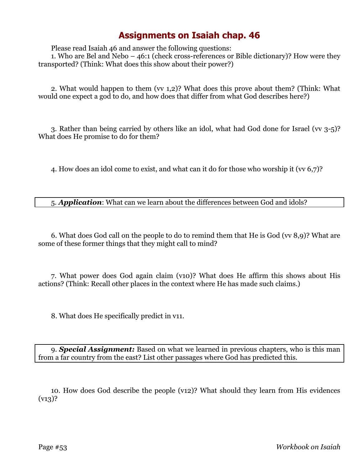Please read Isaiah 46 and answer the following questions:

1. Who are Bel and Nebo – 46:1 (check cross-references or Bible dictionary)? How were they transported? (Think: What does this show about their power?)

2. What would happen to them (vv 1,2)? What does this prove about them? (Think: What would one expect a god to do, and how does that differ from what God describes here?)

3. Rather than being carried by others like an idol, what had God done for Israel (vv 3-5)? What does He promise to do for them?

4. How does an idol come to exist, and what can it do for those who worship it (vv 6,7)?

5. *Application*: What can we learn about the differences between God and idols?

6. What does God call on the people to do to remind them that He is God (vv 8,9)? What are some of these former things that they might call to mind?

7. What power does God again claim (v10)? What does He affirm this shows about His actions? (Think: Recall other places in the context where He has made such claims.)

8. What does He specifically predict in v11.

9. *Special Assignment:* Based on what we learned in previous chapters, who is this man from a far country from the east? List other passages where God has predicted this.

10. How does God describe the people (v12)? What should they learn from His evidences  $(v13)$ ?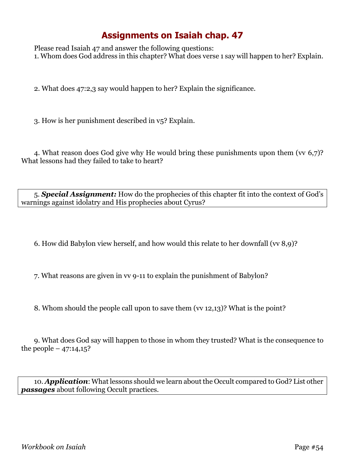Please read Isaiah 47 and answer the following questions: 1. Whom does God address in this chapter? What does verse 1 say will happen to her? Explain.

2. What does 47:2,3 say would happen to her? Explain the significance.

3. How is her punishment described in v5? Explain.

4. What reason does God give why He would bring these punishments upon them (vv 6,7)? What lessons had they failed to take to heart?

5. *Special Assignment:* How do the prophecies of this chapter fit into the context of God's warnings against idolatry and His prophecies about Cyrus?

6. How did Babylon view herself, and how would this relate to her downfall (vv 8,9)?

7. What reasons are given in vv 9-11 to explain the punishment of Babylon?

8. Whom should the people call upon to save them (vv 12,13)? What is the point?

9. What does God say will happen to those in whom they trusted? What is the consequence to the people –  $47:14,15$ ?

10. *Application*: What lessons should we learn about the Occult compared to God? List other *passages* about following Occult practices.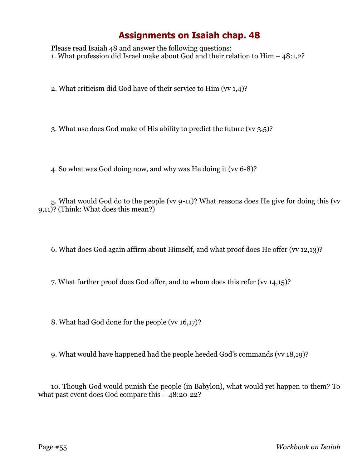Please read Isaiah 48 and answer the following questions: 1. What profession did Israel make about God and their relation to Him – 48:1,2?

2. What criticism did God have of their service to Him (vv 1,4)?

3. What use does God make of His ability to predict the future (vv 3,5)?

4. So what was God doing now, and why was He doing it (vv 6-8)?

5. What would God do to the people (vv 9-11)? What reasons does He give for doing this (vv 9,11)? (Think: What does this mean?)

6. What does God again affirm about Himself, and what proof does He offer (vv 12,13)?

7. What further proof does God offer, and to whom does this refer (vv 14,15)?

8. What had God done for the people (vv 16,17)?

9. What would have happened had the people heeded God's commands (vv 18,19)?

10. Though God would punish the people (in Babylon), what would yet happen to them? To what past event does God compare this – 48:20-22?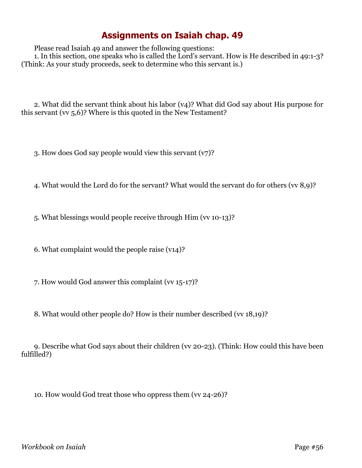Please read Isaiah 49 and answer the following questions:

1. In this section, one speaks who is called the Lord's servant. How is He described in 49:1-3? (Think: As your study proceeds, seek to determine who this servant is.)

2. What did the servant think about his labor (v4)? What did God say about His purpose for this servant (vv 5,6)? Where is this quoted in the New Testament?

3. How does God say people would view this servant (v7)?

4. What would the Lord do for the servant? What would the servant do for others (vv 8,9)?

5. What blessings would people receive through Him (vv 10-13)?

6. What complaint would the people raise (v14)?

7. How would God answer this complaint (vv 15-17)?

8. What would other people do? How is their number described (vv 18,19)?

9. Describe what God says about their children (vv 20-23). (Think: How could this have been fulfilled?)

10. How would God treat those who oppress them (vv 24-26)?

*Workbook on Isaiah* Page #56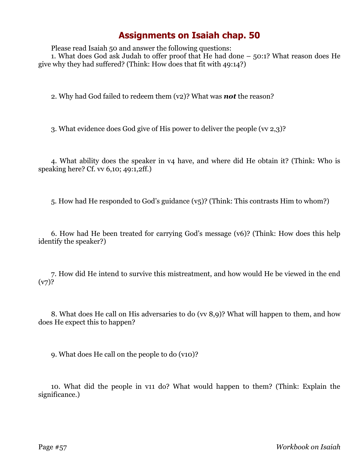Please read Isaiah 50 and answer the following questions:

1. What does God ask Judah to offer proof that He had done – 50:1? What reason does He give why they had suffered? (Think: How does that fit with 49:14?)

2. Why had God failed to redeem them (v2)? What was *not* the reason?

3. What evidence does God give of His power to deliver the people (vv 2,3)?

4. What ability does the speaker in v4 have, and where did He obtain it? (Think: Who is speaking here? Cf. vv 6,10; 49:1,2ff.)

5. How had He responded to God's guidance (v5)? (Think: This contrasts Him to whom?)

6. How had He been treated for carrying God's message (v6)? (Think: How does this help identify the speaker?)

7. How did He intend to survive this mistreatment, and how would He be viewed in the end  $(v7)$ ?

8. What does He call on His adversaries to do (vv 8,9)? What will happen to them, and how does He expect this to happen?

9. What does He call on the people to do (v10)?

10. What did the people in v11 do? What would happen to them? (Think: Explain the significance.)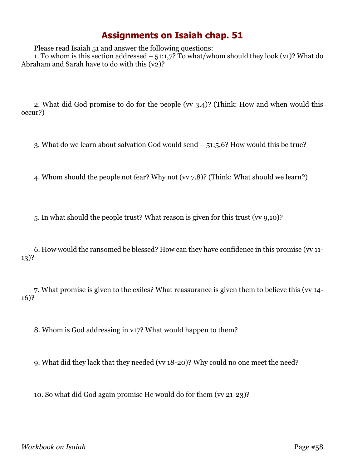Please read Isaiah 51 and answer the following questions:

1. To whom is this section addressed –  $51:1,7$ ? To what/whom should they look (v1)? What do Abraham and Sarah have to do with this (v2)?

2. What did God promise to do for the people (vv 3,4)? (Think: How and when would this occur?)

3. What do we learn about salvation God would send – 51:5,6? How would this be true?

4. Whom should the people not fear? Why not (vv 7,8)? (Think: What should we learn?)

5. In what should the people trust? What reason is given for this trust (vv 9,10)?

6. How would the ransomed be blessed? How can they have confidence in this promise (vv 11- 13)?

7. What promise is given to the exiles? What reassurance is given them to believe this (vv 14- 16)?

8. Whom is God addressing in v17? What would happen to them?

9. What did they lack that they needed (vv 18-20)? Why could no one meet the need?

10. So what did God again promise He would do for them (vv 21-23)?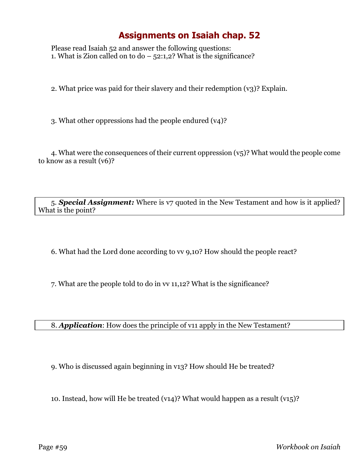Please read Isaiah 52 and answer the following questions: 1. What is Zion called on to do  $-$  52:1,2? What is the significance?

2. What price was paid for their slavery and their redemption (v3)? Explain.

3. What other oppressions had the people endured (v4)?

4. What were the consequences of their current oppression  $(v_5)$ ? What would the people come to know as a result (v6)?

5. *Special Assignment:* Where is v7 quoted in the New Testament and how is it applied? What is the point?

6. What had the Lord done according to vv 9,10? How should the people react?

7. What are the people told to do in vv 11,12? What is the significance?

8. *Application*: How does the principle of v11 apply in the New Testament?

9. Who is discussed again beginning in v13? How should He be treated?

10. Instead, how will He be treated (v14)? What would happen as a result (v15)?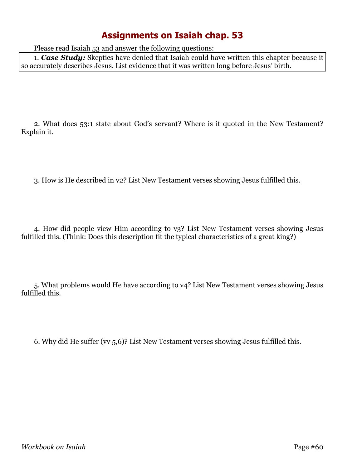Please read Isaiah 53 and answer the following questions:

1. *Case Study:* Skeptics have denied that Isaiah could have written this chapter because it so accurately describes Jesus. List evidence that it was written long before Jesus' birth.

2. What does 53:1 state about God's servant? Where is it quoted in the New Testament? Explain it.

3. How is He described in v2? List New Testament verses showing Jesus fulfilled this.

4. How did people view Him according to v3? List New Testament verses showing Jesus fulfilled this. (Think: Does this description fit the typical characteristics of a great king?)

5. What problems would He have according to v4? List New Testament verses showing Jesus fulfilled this.

6. Why did He suffer (vv 5,6)? List New Testament verses showing Jesus fulfilled this.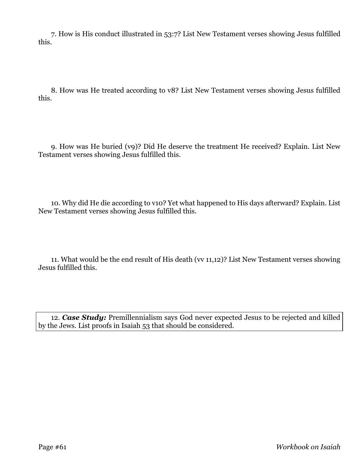7. How is His conduct illustrated in 53:7? List New Testament verses showing Jesus fulfilled this.

8. How was He treated according to v8? List New Testament verses showing Jesus fulfilled this.

9. How was He buried (v9)? Did He deserve the treatment He received? Explain. List New Testament verses showing Jesus fulfilled this.

10. Why did He die according to v10? Yet what happened to His days afterward? Explain. List New Testament verses showing Jesus fulfilled this.

11. What would be the end result of His death (vv 11,12)? List New Testament verses showing Jesus fulfilled this.

12. *Case Study:* Premillennialism says God never expected Jesus to be rejected and killed by the Jews. List proofs in Isaiah 53 that should be considered.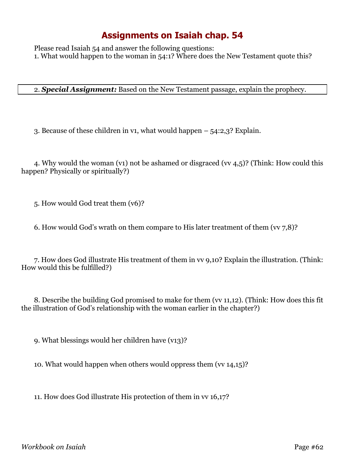Please read Isaiah 54 and answer the following questions: 1. What would happen to the woman in 54:1? Where does the New Testament quote this?

2. *Special Assignment:* Based on the New Testament passage, explain the prophecy.

3. Because of these children in v1, what would happen – 54:2,3? Explain.

4. Why would the woman (v1) not be ashamed or disgraced (vv 4,5)? (Think: How could this happen? Physically or spiritually?)

5. How would God treat them (v6)?

6. How would God's wrath on them compare to His later treatment of them ( $\vee$  7,8)?

7. How does God illustrate His treatment of them in vv 9,10? Explain the illustration. (Think: How would this be fulfilled?)

8. Describe the building God promised to make for them (vv 11,12). (Think: How does this fit the illustration of God's relationship with the woman earlier in the chapter?)

9. What blessings would her children have (v13)?

10. What would happen when others would oppress them (vv 14,15)?

11. How does God illustrate His protection of them in vv 16,17?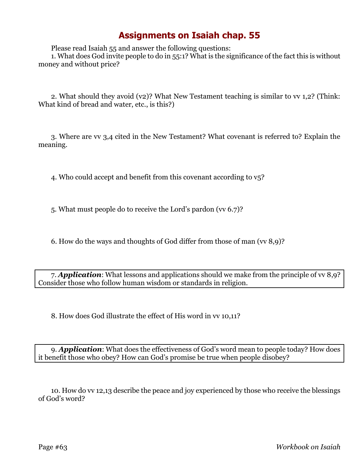Please read Isaiah 55 and answer the following questions:

1. What does God invite people to do in 55:1? What is the significance of the fact this is without money and without price?

2. What should they avoid (v2)? What New Testament teaching is similar to vv 1,2? (Think: What kind of bread and water, etc., is this?)

3. Where are vv 3,4 cited in the New Testament? What covenant is referred to? Explain the meaning.

4. Who could accept and benefit from this covenant according to v5?

5. What must people do to receive the Lord's pardon (vv 6.7)?

6. How do the ways and thoughts of God differ from those of man (vv 8,9)?

7. *Application*: What lessons and applications should we make from the principle of vv 8,9? Consider those who follow human wisdom or standards in religion.

8. How does God illustrate the effect of His word in vv 10,11?

9. *Application*: What does the effectiveness of God's word mean to people today? How does it benefit those who obey? How can God's promise be true when people disobey?

10. How do vv 12,13 describe the peace and joy experienced by those who receive the blessings of God's word?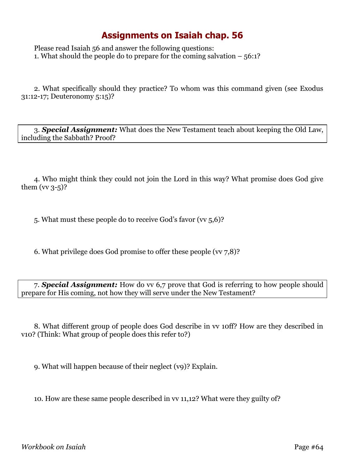Please read Isaiah 56 and answer the following questions: 1. What should the people do to prepare for the coming salvation – 56:1?

2. What specifically should they practice? To whom was this command given (see Exodus 31:12-17; Deuteronomy 5:15)?

3. *Special Assignment:* What does the New Testament teach about keeping the Old Law, including the Sabbath? Proof?

4. Who might think they could not join the Lord in this way? What promise does God give them  $(vv 3-5)$ ?

5. What must these people do to receive God's favor (vv 5,6)?

6. What privilege does God promise to offer these people ( $\vee$  7,8)?

7. *Special Assignment:* How do vv 6,7 prove that God is referring to how people should prepare for His coming, not how they will serve under the New Testament?

8. What different group of people does God describe in vv 10ff? How are they described in v10? (Think: What group of people does this refer to?)

9. What will happen because of their neglect (v9)? Explain.

10. How are these same people described in vv 11,12? What were they guilty of?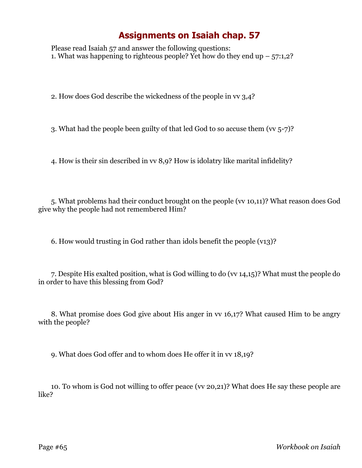Please read Isaiah 57 and answer the following questions: 1. What was happening to righteous people? Yet how do they end up  $-57:1,2$ ?

2. How does God describe the wickedness of the people in vv 3,4?

3. What had the people been guilty of that led God to so accuse them (vv 5-7)?

4. How is their sin described in vv 8,9? How is idolatry like marital infidelity?

5. What problems had their conduct brought on the people (vv 10,11)? What reason does God give why the people had not remembered Him?

6. How would trusting in God rather than idols benefit the people (v13)?

7. Despite His exalted position, what is God willing to do (vv 14,15)? What must the people do in order to have this blessing from God?

8. What promise does God give about His anger in vv 16,17? What caused Him to be angry with the people?

9. What does God offer and to whom does He offer it in vv 18,19?

10. To whom is God not willing to offer peace (vv 20,21)? What does He say these people are like?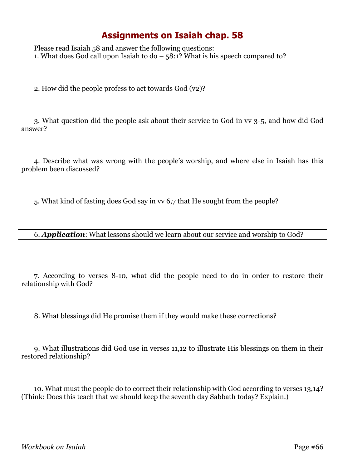Please read Isaiah 58 and answer the following questions: 1. What does God call upon Isaiah to do – 58:1? What is his speech compared to?

2. How did the people profess to act towards God (v2)?

3. What question did the people ask about their service to God in vv 3-5, and how did God answer?

4. Describe what was wrong with the people's worship, and where else in Isaiah has this problem been discussed?

5. What kind of fasting does God say in vv 6,7 that He sought from the people?

#### 6. *Application*: What lessons should we learn about our service and worship to God?

7. According to verses 8-10, what did the people need to do in order to restore their relationship with God?

8. What blessings did He promise them if they would make these corrections?

9. What illustrations did God use in verses 11,12 to illustrate His blessings on them in their restored relationship?

10. What must the people do to correct their relationship with God according to verses 13,14? (Think: Does this teach that we should keep the seventh day Sabbath today? Explain.)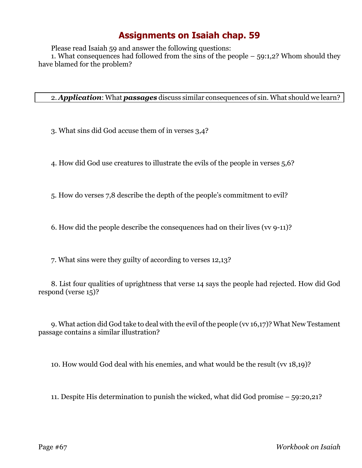Please read Isaiah 59 and answer the following questions:

1. What consequences had followed from the sins of the people  $-59:1,2$ ? Whom should they have blamed for the problem?

2. *Application*: What *passages* discuss similar consequences of sin. What should we learn?

3. What sins did God accuse them of in verses 3,4?

4. How did God use creatures to illustrate the evils of the people in verses 5,6?

5. How do verses 7,8 describe the depth of the people's commitment to evil?

6. How did the people describe the consequences had on their lives (vv 9-11)?

7. What sins were they guilty of according to verses 12,13?

8. List four qualities of uprightness that verse 14 says the people had rejected. How did God respond (verse 15)?

9. What action did God take to deal with the evil of the people (vv 16,17)? What New Testament passage contains a similar illustration?

10. How would God deal with his enemies, and what would be the result (vv 18,19)?

11. Despite His determination to punish the wicked, what did God promise – 59:20,21?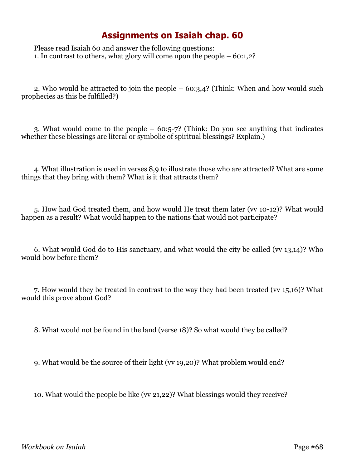Please read Isaiah 60 and answer the following questions: 1. In contrast to others, what glory will come upon the people – 60:1,2?

2. Who would be attracted to join the people – 60:3,4? (Think: When and how would such prophecies as this be fulfilled?)

3. What would come to the people – 60:5-7? (Think: Do you see anything that indicates whether these blessings are literal or symbolic of spiritual blessings? Explain.)

4. What illustration is used in verses 8,9 to illustrate those who are attracted? What are some things that they bring with them? What is it that attracts them?

5. How had God treated them, and how would He treat them later (vv 10-12)? What would happen as a result? What would happen to the nations that would not participate?

6. What would God do to His sanctuary, and what would the city be called (vv 13,14)? Who would bow before them?

7. How would they be treated in contrast to the way they had been treated (vv 15,16)? What would this prove about God?

8. What would not be found in the land (verse 18)? So what would they be called?

9. What would be the source of their light (vv 19,20)? What problem would end?

10. What would the people be like (vv 21,22)? What blessings would they receive?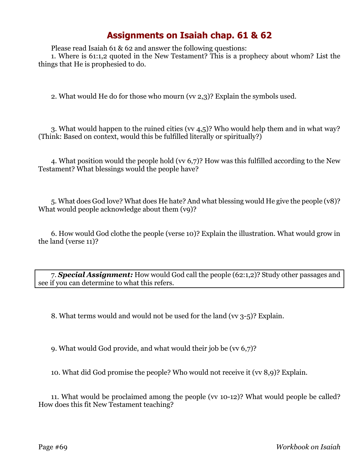Please read Isaiah 61 & 62 and answer the following questions:

1. Where is 61:1,2 quoted in the New Testament? This is a prophecy about whom? List the things that He is prophesied to do.

2. What would He do for those who mourn (vv 2,3)? Explain the symbols used.

3. What would happen to the ruined cities (vv 4,5)? Who would help them and in what way? (Think: Based on context, would this be fulfilled literally or spiritually?)

4. What position would the people hold (vv 6,7)? How was this fulfilled according to the New Testament? What blessings would the people have?

5. What does God love? What does He hate? And what blessing would He give the people (v8)? What would people acknowledge about them  $(vq)$ ?

6. How would God clothe the people (verse 10)? Explain the illustration. What would grow in the land (verse 11)?

7. *Special Assignment:* How would God call the people (62:1,2)? Study other passages and see if you can determine to what this refers.

8. What terms would and would not be used for the land (vv 3-5)? Explain.

9. What would God provide, and what would their job be (vv 6,7)?

10. What did God promise the people? Who would not receive it (vv 8,9)? Explain.

11. What would be proclaimed among the people (vv 10-12)? What would people be called? How does this fit New Testament teaching?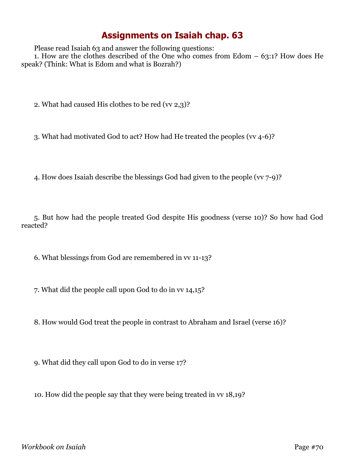Please read Isaiah 63 and answer the following questions:

1. How are the clothes described of the One who comes from Edom  $-63:1$ ? How does He speak? (Think: What is Edom and what is Bozrah?)

2. What had caused His clothes to be red (vv 2,3)?

3. What had motivated God to act? How had He treated the peoples (vv 4-6)?

4. How does Isaiah describe the blessings God had given to the people (vv 7-9)?

5. But how had the people treated God despite His goodness (verse 10)? So how had God reacted?

6. What blessings from God are remembered in vv 11-13?

7. What did the people call upon God to do in vv 14,15?

8. How would God treat the people in contrast to Abraham and Israel (verse 16)?

9. What did they call upon God to do in verse 17?

10. How did the people say that they were being treated in vv 18,19?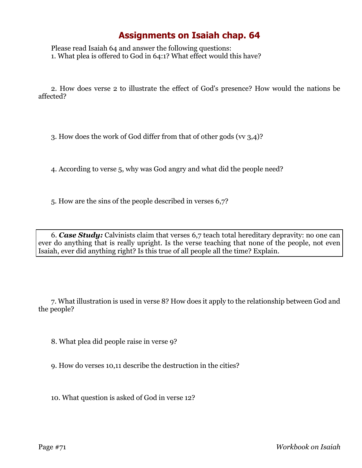Please read Isaiah 64 and answer the following questions: 1. What plea is offered to God in 64:1? What effect would this have?

2. How does verse 2 to illustrate the effect of God's presence? How would the nations be affected?

3. How does the work of God differ from that of other gods (vv 3,4)?

4. According to verse 5, why was God angry and what did the people need?

5. How are the sins of the people described in verses 6,7?

6. *Case Study:* Calvinists claim that verses 6,7 teach total hereditary depravity: no one can ever do anything that is really upright. Is the verse teaching that none of the people, not even Isaiah, ever did anything right? Is this true of all people all the time? Explain.

7. What illustration is used in verse 8? How does it apply to the relationship between God and the people?

8. What plea did people raise in verse 9?

9. How do verses 10,11 describe the destruction in the cities?

10. What question is asked of God in verse 12?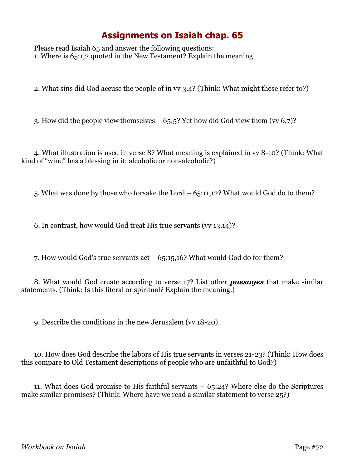Please read Isaiah 65 and answer the following questions: 1. Where is 65:1,2 quoted in the New Testament? Explain the meaning.

2. What sins did God accuse the people of in vv 3,4? (Think: What might these refer to?)

3. How did the people view themselves  $-65:5$ ? Yet how did God view them (vv 6,7)?

4. What illustration is used in verse 8? What meaning is explained in vv 8-10? (Think: What kind of "wine" has a blessing in it: alcoholic or non-alcoholic?)

5. What was done by those who forsake the Lord – 65:11,12? What would God do to them?

6. In contrast, how would God treat His true servants (vv 13,14)?

7. How would God's true servants act  $-65:15,16$ ? What would God do for them?

8. What would God create according to verse 17? List other *passages* that make similar statements. (Think: Is this literal or spiritual? Explain the meaning.)

9. Describe the conditions in the new Jerusalem (vv 18-20).

10. How does God describe the labors of His true servants in verses 21-23? (Think: How does this compare to Old Testament descriptions of people who are unfaithful to God?)

11. What does God promise to His faithful servants – 65:24? Where else do the Scriptures make similar promises? (Think: Where have we read a similar statement to verse 25?)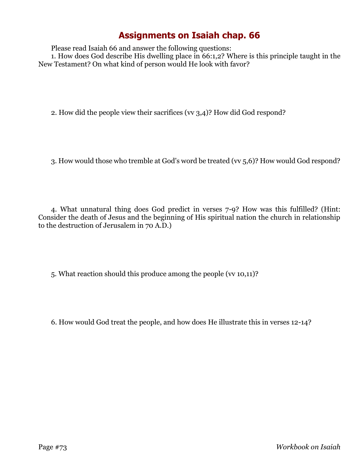## **Assignments on Isaiah chap. 66**

Please read Isaiah 66 and answer the following questions:

1. How does God describe His dwelling place in 66:1,2? Where is this principle taught in the New Testament? On what kind of person would He look with favor?

2. How did the people view their sacrifices (vv 3,4)? How did God respond?

3. How would those who tremble at God's word be treated (vv 5,6)? How would God respond?

4. What unnatural thing does God predict in verses 7-9? How was this fulfilled? (Hint: Consider the death of Jesus and the beginning of His spiritual nation the church in relationship to the destruction of Jerusalem in 70 A.D.)

5. What reaction should this produce among the people (vv 10,11)?

6. How would God treat the people, and how does He illustrate this in verses 12-14?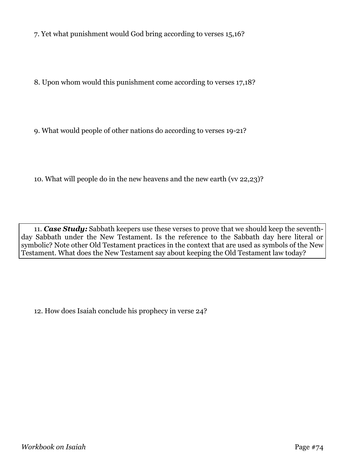7. Yet what punishment would God bring according to verses 15,16?

8. Upon whom would this punishment come according to verses 17,18?

9. What would people of other nations do according to verses 19-21?

10. What will people do in the new heavens and the new earth (vv 22,23)?

11. *Case Study:* Sabbath keepers use these verses to prove that we should keep the seventhday Sabbath under the New Testament. Is the reference to the Sabbath day here literal or symbolic? Note other Old Testament practices in the context that are used as symbols of the New Testament. What does the New Testament say about keeping the Old Testament law today?

12. How does Isaiah conclude his prophecy in verse 24?